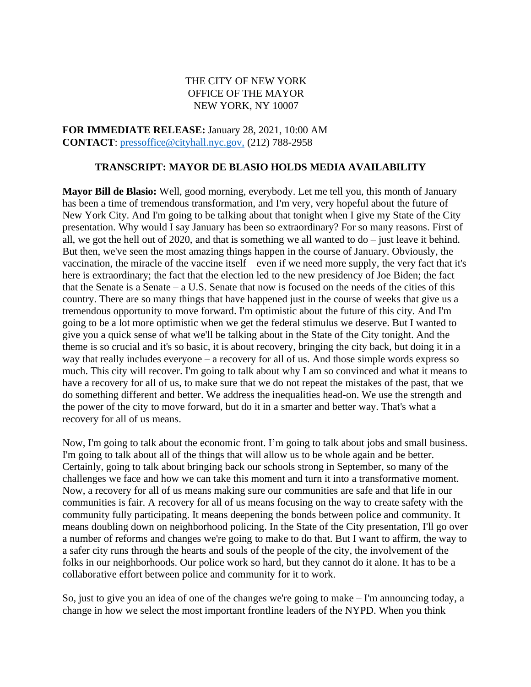### THE CITY OF NEW YORK OFFICE OF THE MAYOR NEW YORK, NY 10007

**FOR IMMEDIATE RELEASE:** January 28, 2021, 10:00 AM **CONTACT**: [pressoffice@cityhall.nyc.gov,](mailto:pressoffice@cityhall.nyc.gov) (212) 788-2958

#### **TRANSCRIPT: MAYOR DE BLASIO HOLDS MEDIA AVAILABILITY**

**Mayor Bill de Blasio:** Well, good morning, everybody. Let me tell you, this month of January has been a time of tremendous transformation, and I'm very, very hopeful about the future of New York City. And I'm going to be talking about that tonight when I give my State of the City presentation. Why would I say January has been so extraordinary? For so many reasons. First of all, we got the hell out of 2020, and that is something we all wanted to  $d\sigma$  – just leave it behind. But then, we've seen the most amazing things happen in the course of January. Obviously, the vaccination, the miracle of the vaccine itself – even if we need more supply, the very fact that it's here is extraordinary; the fact that the election led to the new presidency of Joe Biden; the fact that the Senate is a Senate – a U.S. Senate that now is focused on the needs of the cities of this country. There are so many things that have happened just in the course of weeks that give us a tremendous opportunity to move forward. I'm optimistic about the future of this city. And I'm going to be a lot more optimistic when we get the federal stimulus we deserve. But I wanted to give you a quick sense of what we'll be talking about in the State of the City tonight. And the theme is so crucial and it's so basic, it is about recovery, bringing the city back, but doing it in a way that really includes everyone – a recovery for all of us. And those simple words express so much. This city will recover. I'm going to talk about why I am so convinced and what it means to have a recovery for all of us, to make sure that we do not repeat the mistakes of the past, that we do something different and better. We address the inequalities head-on. We use the strength and the power of the city to move forward, but do it in a smarter and better way. That's what a recovery for all of us means.

Now, I'm going to talk about the economic front. I'm going to talk about jobs and small business. I'm going to talk about all of the things that will allow us to be whole again and be better. Certainly, going to talk about bringing back our schools strong in September, so many of the challenges we face and how we can take this moment and turn it into a transformative moment. Now, a recovery for all of us means making sure our communities are safe and that life in our communities is fair. A recovery for all of us means focusing on the way to create safety with the community fully participating. It means deepening the bonds between police and community. It means doubling down on neighborhood policing. In the State of the City presentation, I'll go over a number of reforms and changes we're going to make to do that. But I want to affirm, the way to a safer city runs through the hearts and souls of the people of the city, the involvement of the folks in our neighborhoods. Our police work so hard, but they cannot do it alone. It has to be a collaborative effort between police and community for it to work.

So, just to give you an idea of one of the changes we're going to make – I'm announcing today, a change in how we select the most important frontline leaders of the NYPD. When you think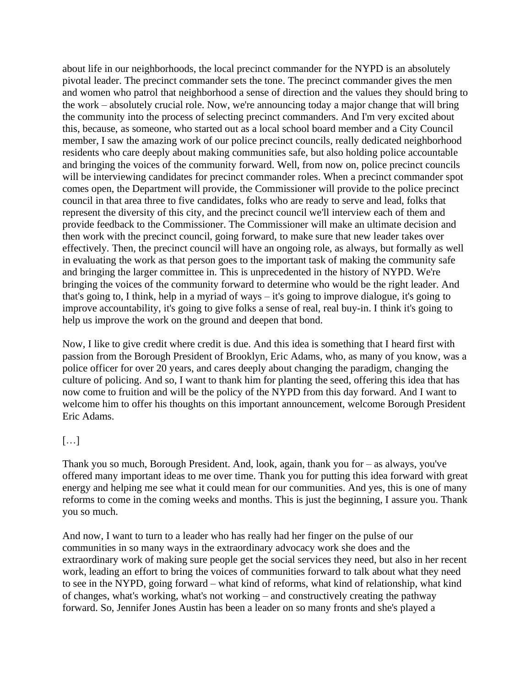about life in our neighborhoods, the local precinct commander for the NYPD is an absolutely pivotal leader. The precinct commander sets the tone. The precinct commander gives the men and women who patrol that neighborhood a sense of direction and the values they should bring to the work – absolutely crucial role. Now, we're announcing today a major change that will bring the community into the process of selecting precinct commanders. And I'm very excited about this, because, as someone, who started out as a local school board member and a City Council member, I saw the amazing work of our police precinct councils, really dedicated neighborhood residents who care deeply about making communities safe, but also holding police accountable and bringing the voices of the community forward. Well, from now on, police precinct councils will be interviewing candidates for precinct commander roles. When a precinct commander spot comes open, the Department will provide, the Commissioner will provide to the police precinct council in that area three to five candidates, folks who are ready to serve and lead, folks that represent the diversity of this city, and the precinct council we'll interview each of them and provide feedback to the Commissioner. The Commissioner will make an ultimate decision and then work with the precinct council, going forward, to make sure that new leader takes over effectively. Then, the precinct council will have an ongoing role, as always, but formally as well in evaluating the work as that person goes to the important task of making the community safe and bringing the larger committee in. This is unprecedented in the history of NYPD. We're bringing the voices of the community forward to determine who would be the right leader. And that's going to, I think, help in a myriad of ways – it's going to improve dialogue, it's going to improve accountability, it's going to give folks a sense of real, real buy-in. I think it's going to help us improve the work on the ground and deepen that bond.

Now, I like to give credit where credit is due. And this idea is something that I heard first with passion from the Borough President of Brooklyn, Eric Adams, who, as many of you know, was a police officer for over 20 years, and cares deeply about changing the paradigm, changing the culture of policing. And so, I want to thank him for planting the seed, offering this idea that has now come to fruition and will be the policy of the NYPD from this day forward. And I want to welcome him to offer his thoughts on this important announcement, welcome Borough President Eric Adams.

## […]

Thank you so much, Borough President. And, look, again, thank you for – as always, you've offered many important ideas to me over time. Thank you for putting this idea forward with great energy and helping me see what it could mean for our communities. And yes, this is one of many reforms to come in the coming weeks and months. This is just the beginning, I assure you. Thank you so much.

And now, I want to turn to a leader who has really had her finger on the pulse of our communities in so many ways in the extraordinary advocacy work she does and the extraordinary work of making sure people get the social services they need, but also in her recent work, leading an effort to bring the voices of communities forward to talk about what they need to see in the NYPD, going forward – what kind of reforms, what kind of relationship, what kind of changes, what's working, what's not working – and constructively creating the pathway forward. So, Jennifer Jones Austin has been a leader on so many fronts and she's played a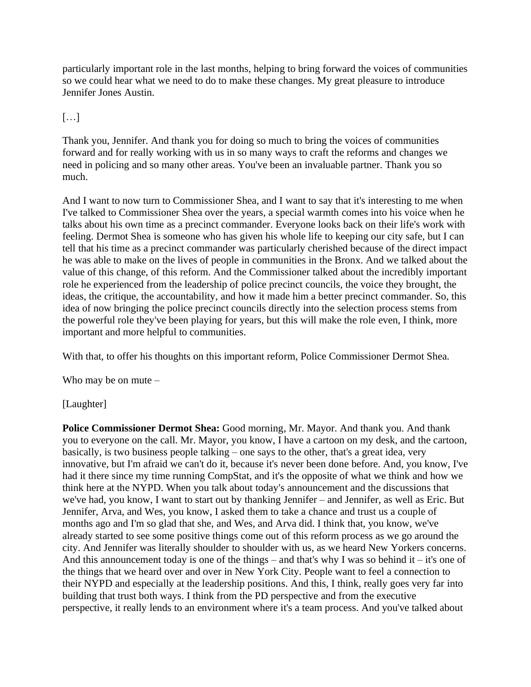particularly important role in the last months, helping to bring forward the voices of communities so we could hear what we need to do to make these changes. My great pleasure to introduce Jennifer Jones Austin.

# […]

Thank you, Jennifer. And thank you for doing so much to bring the voices of communities forward and for really working with us in so many ways to craft the reforms and changes we need in policing and so many other areas. You've been an invaluable partner. Thank you so much.

And I want to now turn to Commissioner Shea, and I want to say that it's interesting to me when I've talked to Commissioner Shea over the years, a special warmth comes into his voice when he talks about his own time as a precinct commander. Everyone looks back on their life's work with feeling. Dermot Shea is someone who has given his whole life to keeping our city safe, but I can tell that his time as a precinct commander was particularly cherished because of the direct impact he was able to make on the lives of people in communities in the Bronx. And we talked about the value of this change, of this reform. And the Commissioner talked about the incredibly important role he experienced from the leadership of police precinct councils, the voice they brought, the ideas, the critique, the accountability, and how it made him a better precinct commander. So, this idea of now bringing the police precinct councils directly into the selection process stems from the powerful role they've been playing for years, but this will make the role even, I think, more important and more helpful to communities.

With that, to offer his thoughts on this important reform, Police Commissioner Dermot Shea.

Who may be on mute –

## [Laughter]

**Police Commissioner Dermot Shea:** Good morning, Mr. Mayor. And thank you. And thank you to everyone on the call. Mr. Mayor, you know, I have a cartoon on my desk, and the cartoon, basically, is two business people talking – one says to the other, that's a great idea, very innovative, but I'm afraid we can't do it, because it's never been done before. And, you know, I've had it there since my time running CompStat, and it's the opposite of what we think and how we think here at the NYPD. When you talk about today's announcement and the discussions that we've had, you know, I want to start out by thanking Jennifer – and Jennifer, as well as Eric. But Jennifer, Arva, and Wes, you know, I asked them to take a chance and trust us a couple of months ago and I'm so glad that she, and Wes, and Arva did. I think that, you know, we've already started to see some positive things come out of this reform process as we go around the city. And Jennifer was literally shoulder to shoulder with us, as we heard New Yorkers concerns. And this announcement today is one of the things – and that's why I was so behind it – it's one of the things that we heard over and over in New York City. People want to feel a connection to their NYPD and especially at the leadership positions. And this, I think, really goes very far into building that trust both ways. I think from the PD perspective and from the executive perspective, it really lends to an environment where it's a team process. And you've talked about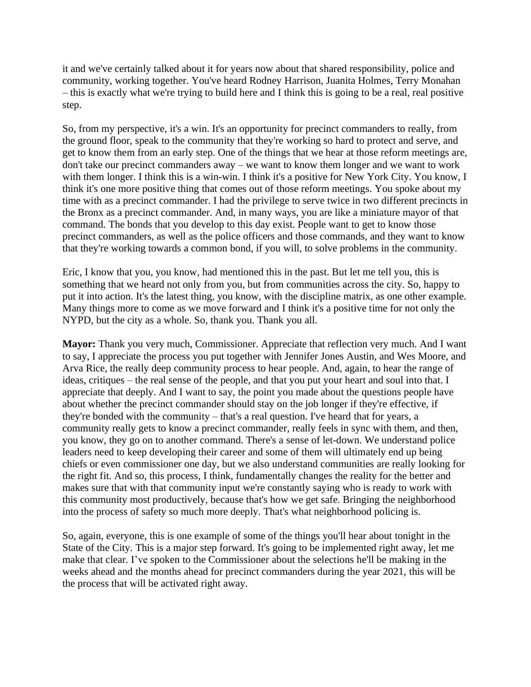it and we've certainly talked about it for years now about that shared responsibility, police and community, working together. You've heard Rodney Harrison, Juanita Holmes, Terry Monahan – this is exactly what we're trying to build here and I think this is going to be a real, real positive step.

So, from my perspective, it's a win. It's an opportunity for precinct commanders to really, from the ground floor, speak to the community that they're working so hard to protect and serve, and get to know them from an early step. One of the things that we hear at those reform meetings are, don't take our precinct commanders away – we want to know them longer and we want to work with them longer. I think this is a win-win. I think it's a positive for New York City. You know, I think it's one more positive thing that comes out of those reform meetings. You spoke about my time with as a precinct commander. I had the privilege to serve twice in two different precincts in the Bronx as a precinct commander. And, in many ways, you are like a miniature mayor of that command. The bonds that you develop to this day exist. People want to get to know those precinct commanders, as well as the police officers and those commands, and they want to know that they're working towards a common bond, if you will, to solve problems in the community.

Eric, I know that you, you know, had mentioned this in the past. But let me tell you, this is something that we heard not only from you, but from communities across the city. So, happy to put it into action. It's the latest thing, you know, with the discipline matrix, as one other example. Many things more to come as we move forward and I think it's a positive time for not only the NYPD, but the city as a whole. So, thank you. Thank you all.

**Mayor:** Thank you very much, Commissioner. Appreciate that reflection very much. And I want to say, I appreciate the process you put together with Jennifer Jones Austin, and Wes Moore, and Arva Rice, the really deep community process to hear people. And, again, to hear the range of ideas, critiques – the real sense of the people, and that you put your heart and soul into that. I appreciate that deeply. And I want to say, the point you made about the questions people have about whether the precinct commander should stay on the job longer if they're effective, if they're bonded with the community – that's a real question. I've heard that for years, a community really gets to know a precinct commander, really feels in sync with them, and then, you know, they go on to another command. There's a sense of let-down. We understand police leaders need to keep developing their career and some of them will ultimately end up being chiefs or even commissioner one day, but we also understand communities are really looking for the right fit. And so, this process, I think, fundamentally changes the reality for the better and makes sure that with that community input we're constantly saying who is ready to work with this community most productively, because that's how we get safe. Bringing the neighborhood into the process of safety so much more deeply. That's what neighborhood policing is.

So, again, everyone, this is one example of some of the things you'll hear about tonight in the State of the City. This is a major step forward. It's going to be implemented right away, let me make that clear. I've spoken to the Commissioner about the selections he'll be making in the weeks ahead and the months ahead for precinct commanders during the year 2021, this will be the process that will be activated right away.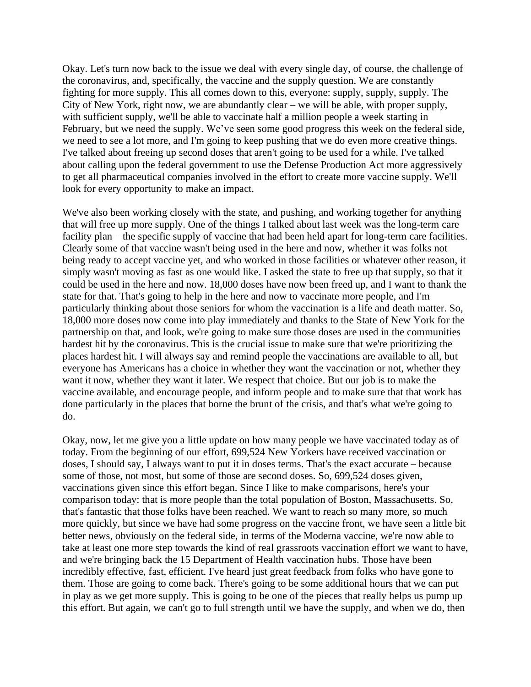Okay. Let's turn now back to the issue we deal with every single day, of course, the challenge of the coronavirus, and, specifically, the vaccine and the supply question. We are constantly fighting for more supply. This all comes down to this, everyone: supply, supply, supply. The City of New York, right now, we are abundantly clear – we will be able, with proper supply, with sufficient supply, we'll be able to vaccinate half a million people a week starting in February, but we need the supply. We've seen some good progress this week on the federal side, we need to see a lot more, and I'm going to keep pushing that we do even more creative things. I've talked about freeing up second doses that aren't going to be used for a while. I've talked about calling upon the federal government to use the Defense Production Act more aggressively to get all pharmaceutical companies involved in the effort to create more vaccine supply. We'll look for every opportunity to make an impact.

We've also been working closely with the state, and pushing, and working together for anything that will free up more supply. One of the things I talked about last week was the long-term care facility plan – the specific supply of vaccine that had been held apart for long-term care facilities. Clearly some of that vaccine wasn't being used in the here and now, whether it was folks not being ready to accept vaccine yet, and who worked in those facilities or whatever other reason, it simply wasn't moving as fast as one would like. I asked the state to free up that supply, so that it could be used in the here and now. 18,000 doses have now been freed up, and I want to thank the state for that. That's going to help in the here and now to vaccinate more people, and I'm particularly thinking about those seniors for whom the vaccination is a life and death matter. So, 18,000 more doses now come into play immediately and thanks to the State of New York for the partnership on that, and look, we're going to make sure those doses are used in the communities hardest hit by the coronavirus. This is the crucial issue to make sure that we're prioritizing the places hardest hit. I will always say and remind people the vaccinations are available to all, but everyone has Americans has a choice in whether they want the vaccination or not, whether they want it now, whether they want it later. We respect that choice. But our job is to make the vaccine available, and encourage people, and inform people and to make sure that that work has done particularly in the places that borne the brunt of the crisis, and that's what we're going to do.

Okay, now, let me give you a little update on how many people we have vaccinated today as of today. From the beginning of our effort, 699,524 New Yorkers have received vaccination or doses, I should say, I always want to put it in doses terms. That's the exact accurate – because some of those, not most, but some of those are second doses. So, 699,524 doses given, vaccinations given since this effort began. Since I like to make comparisons, here's your comparison today: that is more people than the total population of Boston, Massachusetts. So, that's fantastic that those folks have been reached. We want to reach so many more, so much more quickly, but since we have had some progress on the vaccine front, we have seen a little bit better news, obviously on the federal side, in terms of the Moderna vaccine, we're now able to take at least one more step towards the kind of real grassroots vaccination effort we want to have, and we're bringing back the 15 Department of Health vaccination hubs. Those have been incredibly effective, fast, efficient. I've heard just great feedback from folks who have gone to them. Those are going to come back. There's going to be some additional hours that we can put in play as we get more supply. This is going to be one of the pieces that really helps us pump up this effort. But again, we can't go to full strength until we have the supply, and when we do, then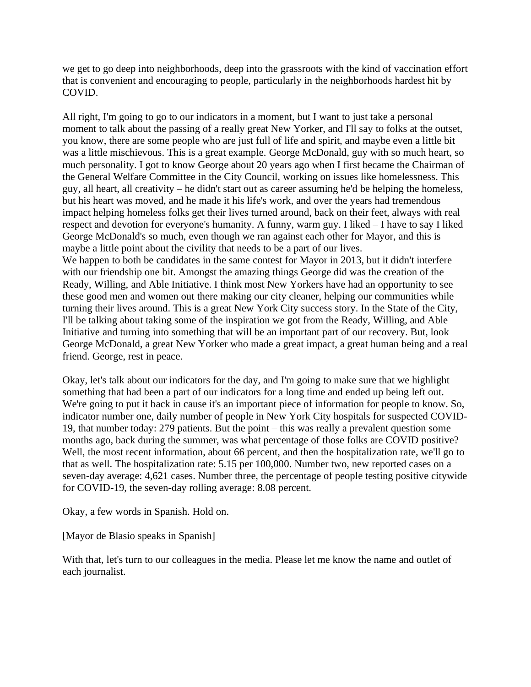we get to go deep into neighborhoods, deep into the grassroots with the kind of vaccination effort that is convenient and encouraging to people, particularly in the neighborhoods hardest hit by COVID.

All right, I'm going to go to our indicators in a moment, but I want to just take a personal moment to talk about the passing of a really great New Yorker, and I'll say to folks at the outset, you know, there are some people who are just full of life and spirit, and maybe even a little bit was a little mischievous. This is a great example. George McDonald, guy with so much heart, so much personality. I got to know George about 20 years ago when I first became the Chairman of the General Welfare Committee in the City Council, working on issues like homelessness. This guy, all heart, all creativity – he didn't start out as career assuming he'd be helping the homeless, but his heart was moved, and he made it his life's work, and over the years had tremendous impact helping homeless folks get their lives turned around, back on their feet, always with real respect and devotion for everyone's humanity. A funny, warm guy. I liked – I have to say I liked George McDonald's so much, even though we ran against each other for Mayor, and this is maybe a little point about the civility that needs to be a part of our lives. We happen to both be candidates in the same contest for Mayor in 2013, but it didn't interfere with our friendship one bit. Amongst the amazing things George did was the creation of the Ready, Willing, and Able Initiative. I think most New Yorkers have had an opportunity to see these good men and women out there making our city cleaner, helping our communities while turning their lives around. This is a great New York City success story. In the State of the City, I'll be talking about taking some of the inspiration we got from the Ready, Willing, and Able Initiative and turning into something that will be an important part of our recovery. But, look George McDonald, a great New Yorker who made a great impact, a great human being and a real

friend. George, rest in peace.

Okay, let's talk about our indicators for the day, and I'm going to make sure that we highlight something that had been a part of our indicators for a long time and ended up being left out. We're going to put it back in cause it's an important piece of information for people to know. So, indicator number one, daily number of people in New York City hospitals for suspected COVID-19, that number today: 279 patients. But the point – this was really a prevalent question some months ago, back during the summer, was what percentage of those folks are COVID positive? Well, the most recent information, about 66 percent, and then the hospitalization rate, we'll go to that as well. The hospitalization rate: 5.15 per 100,000. Number two, new reported cases on a seven-day average: 4,621 cases. Number three, the percentage of people testing positive citywide for COVID-19, the seven-day rolling average: 8.08 percent.

Okay, a few words in Spanish. Hold on.

[Mayor de Blasio speaks in Spanish]

With that, let's turn to our colleagues in the media. Please let me know the name and outlet of each journalist.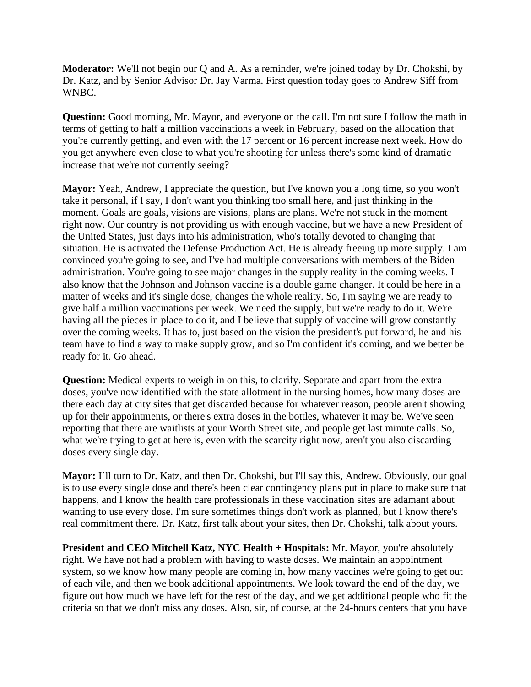**Moderator:** We'll not begin our Q and A. As a reminder, we're joined today by Dr. Chokshi, by Dr. Katz, and by Senior Advisor Dr. Jay Varma. First question today goes to Andrew Siff from WNBC.

**Question:** Good morning, Mr. Mayor, and everyone on the call. I'm not sure I follow the math in terms of getting to half a million vaccinations a week in February, based on the allocation that you're currently getting, and even with the 17 percent or 16 percent increase next week. How do you get anywhere even close to what you're shooting for unless there's some kind of dramatic increase that we're not currently seeing?

**Mayor:** Yeah, Andrew, I appreciate the question, but I've known you a long time, so you won't take it personal, if I say, I don't want you thinking too small here, and just thinking in the moment. Goals are goals, visions are visions, plans are plans. We're not stuck in the moment right now. Our country is not providing us with enough vaccine, but we have a new President of the United States, just days into his administration, who's totally devoted to changing that situation. He is activated the Defense Production Act. He is already freeing up more supply. I am convinced you're going to see, and I've had multiple conversations with members of the Biden administration. You're going to see major changes in the supply reality in the coming weeks. I also know that the Johnson and Johnson vaccine is a double game changer. It could be here in a matter of weeks and it's single dose, changes the whole reality. So, I'm saying we are ready to give half a million vaccinations per week. We need the supply, but we're ready to do it. We're having all the pieces in place to do it, and I believe that supply of vaccine will grow constantly over the coming weeks. It has to, just based on the vision the president's put forward, he and his team have to find a way to make supply grow, and so I'm confident it's coming, and we better be ready for it. Go ahead.

**Question:** Medical experts to weigh in on this, to clarify. Separate and apart from the extra doses, you've now identified with the state allotment in the nursing homes, how many doses are there each day at city sites that get discarded because for whatever reason, people aren't showing up for their appointments, or there's extra doses in the bottles, whatever it may be. We've seen reporting that there are waitlists at your Worth Street site, and people get last minute calls. So, what we're trying to get at here is, even with the scarcity right now, aren't you also discarding doses every single day.

**Mayor:** I'll turn to Dr. Katz, and then Dr. Chokshi, but I'll say this, Andrew. Obviously, our goal is to use every single dose and there's been clear contingency plans put in place to make sure that happens, and I know the health care professionals in these vaccination sites are adamant about wanting to use every dose. I'm sure sometimes things don't work as planned, but I know there's real commitment there. Dr. Katz, first talk about your sites, then Dr. Chokshi, talk about yours.

**President and CEO Mitchell Katz, NYC Health + Hospitals:** Mr. Mayor, you're absolutely right. We have not had a problem with having to waste doses. We maintain an appointment system, so we know how many people are coming in, how many vaccines we're going to get out of each vile, and then we book additional appointments. We look toward the end of the day, we figure out how much we have left for the rest of the day, and we get additional people who fit the criteria so that we don't miss any doses. Also, sir, of course, at the 24-hours centers that you have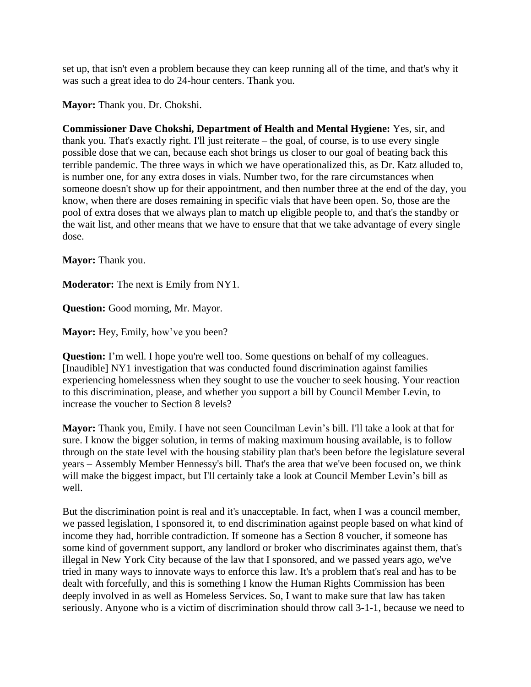set up, that isn't even a problem because they can keep running all of the time, and that's why it was such a great idea to do 24-hour centers. Thank you.

**Mayor:** Thank you. Dr. Chokshi.

**Commissioner Dave Chokshi, Department of Health and Mental Hygiene:** Yes, sir, and thank you. That's exactly right. I'll just reiterate – the goal, of course, is to use every single possible dose that we can, because each shot brings us closer to our goal of beating back this terrible pandemic. The three ways in which we have operationalized this, as Dr. Katz alluded to, is number one, for any extra doses in vials. Number two, for the rare circumstances when someone doesn't show up for their appointment, and then number three at the end of the day, you know, when there are doses remaining in specific vials that have been open. So, those are the pool of extra doses that we always plan to match up eligible people to, and that's the standby or the wait list, and other means that we have to ensure that that we take advantage of every single dose.

**Mayor:** Thank you.

**Moderator:** The next is Emily from NY1.

**Question:** Good morning, Mr. Mayor.

**Mayor:** Hey, Emily, how've you been?

**Question:** I'm well. I hope you're well too. Some questions on behalf of my colleagues. [Inaudible] NY1 investigation that was conducted found discrimination against families experiencing homelessness when they sought to use the voucher to seek housing. Your reaction to this discrimination, please, and whether you support a bill by Council Member Levin, to increase the voucher to Section 8 levels?

**Mayor:** Thank you, Emily. I have not seen Councilman Levin's bill. I'll take a look at that for sure. I know the bigger solution, in terms of making maximum housing available, is to follow through on the state level with the housing stability plan that's been before the legislature several years – Assembly Member Hennessy's bill. That's the area that we've been focused on, we think will make the biggest impact, but I'll certainly take a look at Council Member Levin's bill as well.

But the discrimination point is real and it's unacceptable. In fact, when I was a council member, we passed legislation, I sponsored it, to end discrimination against people based on what kind of income they had, horrible contradiction. If someone has a Section 8 voucher, if someone has some kind of government support, any landlord or broker who discriminates against them, that's illegal in New York City because of the law that I sponsored, and we passed years ago, we've tried in many ways to innovate ways to enforce this law. It's a problem that's real and has to be dealt with forcefully, and this is something I know the Human Rights Commission has been deeply involved in as well as Homeless Services. So, I want to make sure that law has taken seriously. Anyone who is a victim of discrimination should throw call 3-1-1, because we need to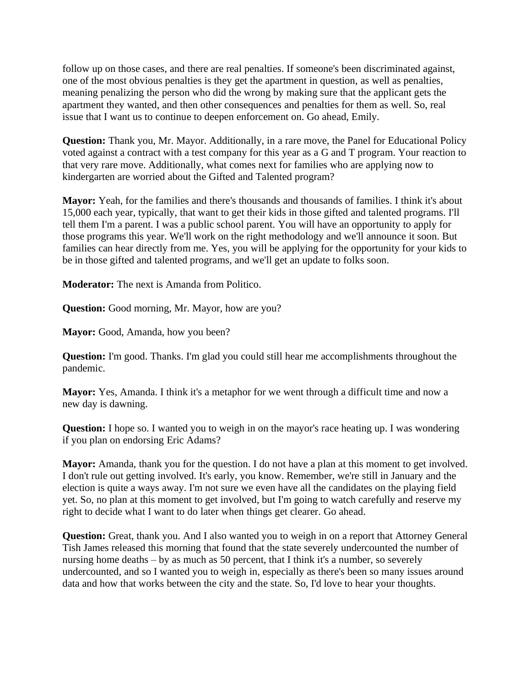follow up on those cases, and there are real penalties. If someone's been discriminated against, one of the most obvious penalties is they get the apartment in question, as well as penalties, meaning penalizing the person who did the wrong by making sure that the applicant gets the apartment they wanted, and then other consequences and penalties for them as well. So, real issue that I want us to continue to deepen enforcement on. Go ahead, Emily.

**Question:** Thank you, Mr. Mayor. Additionally, in a rare move, the Panel for Educational Policy voted against a contract with a test company for this year as a G and T program. Your reaction to that very rare move. Additionally, what comes next for families who are applying now to kindergarten are worried about the Gifted and Talented program?

**Mayor:** Yeah, for the families and there's thousands and thousands of families. I think it's about 15,000 each year, typically, that want to get their kids in those gifted and talented programs. I'll tell them I'm a parent. I was a public school parent. You will have an opportunity to apply for those programs this year. We'll work on the right methodology and we'll announce it soon. But families can hear directly from me. Yes, you will be applying for the opportunity for your kids to be in those gifted and talented programs, and we'll get an update to folks soon.

**Moderator:** The next is Amanda from Politico.

**Question:** Good morning, Mr. Mayor, how are you?

**Mayor:** Good, Amanda, how you been?

**Question:** I'm good. Thanks. I'm glad you could still hear me accomplishments throughout the pandemic.

**Mayor:** Yes, Amanda. I think it's a metaphor for we went through a difficult time and now a new day is dawning.

**Question:** I hope so. I wanted you to weigh in on the mayor's race heating up. I was wondering if you plan on endorsing Eric Adams?

**Mayor:** Amanda, thank you for the question. I do not have a plan at this moment to get involved. I don't rule out getting involved. It's early, you know. Remember, we're still in January and the election is quite a ways away. I'm not sure we even have all the candidates on the playing field yet. So, no plan at this moment to get involved, but I'm going to watch carefully and reserve my right to decide what I want to do later when things get clearer. Go ahead.

**Question:** Great, thank you. And I also wanted you to weigh in on a report that Attorney General Tish James released this morning that found that the state severely undercounted the number of nursing home deaths – by as much as 50 percent, that I think it's a number, so severely undercounted, and so I wanted you to weigh in, especially as there's been so many issues around data and how that works between the city and the state. So, I'd love to hear your thoughts.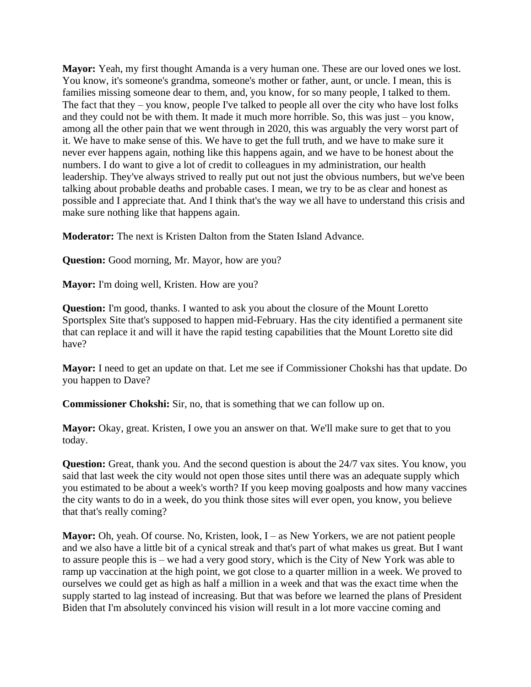**Mayor:** Yeah, my first thought Amanda is a very human one. These are our loved ones we lost. You know, it's someone's grandma, someone's mother or father, aunt, or uncle. I mean, this is families missing someone dear to them, and, you know, for so many people, I talked to them. The fact that they – you know, people I've talked to people all over the city who have lost folks and they could not be with them. It made it much more horrible. So, this was just – you know, among all the other pain that we went through in 2020, this was arguably the very worst part of it. We have to make sense of this. We have to get the full truth, and we have to make sure it never ever happens again, nothing like this happens again, and we have to be honest about the numbers. I do want to give a lot of credit to colleagues in my administration, our health leadership. They've always strived to really put out not just the obvious numbers, but we've been talking about probable deaths and probable cases. I mean, we try to be as clear and honest as possible and I appreciate that. And I think that's the way we all have to understand this crisis and make sure nothing like that happens again.

**Moderator:** The next is Kristen Dalton from the Staten Island Advance.

**Question:** Good morning, Mr. Mayor, how are you?

**Mayor:** I'm doing well, Kristen. How are you?

**Question:** I'm good, thanks. I wanted to ask you about the closure of the Mount Loretto Sportsplex Site that's supposed to happen mid-February. Has the city identified a permanent site that can replace it and will it have the rapid testing capabilities that the Mount Loretto site did have?

**Mayor:** I need to get an update on that. Let me see if Commissioner Chokshi has that update. Do you happen to Dave?

**Commissioner Chokshi:** Sir, no, that is something that we can follow up on.

**Mayor:** Okay, great. Kristen, I owe you an answer on that. We'll make sure to get that to you today.

**Question:** Great, thank you. And the second question is about the 24/7 vax sites. You know, you said that last week the city would not open those sites until there was an adequate supply which you estimated to be about a week's worth? If you keep moving goalposts and how many vaccines the city wants to do in a week, do you think those sites will ever open, you know, you believe that that's really coming?

**Mayor:** Oh, yeah. Of course. No, Kristen, look, I – as New Yorkers, we are not patient people and we also have a little bit of a cynical streak and that's part of what makes us great. But I want to assure people this is – we had a very good story, which is the City of New York was able to ramp up vaccination at the high point, we got close to a quarter million in a week. We proved to ourselves we could get as high as half a million in a week and that was the exact time when the supply started to lag instead of increasing. But that was before we learned the plans of President Biden that I'm absolutely convinced his vision will result in a lot more vaccine coming and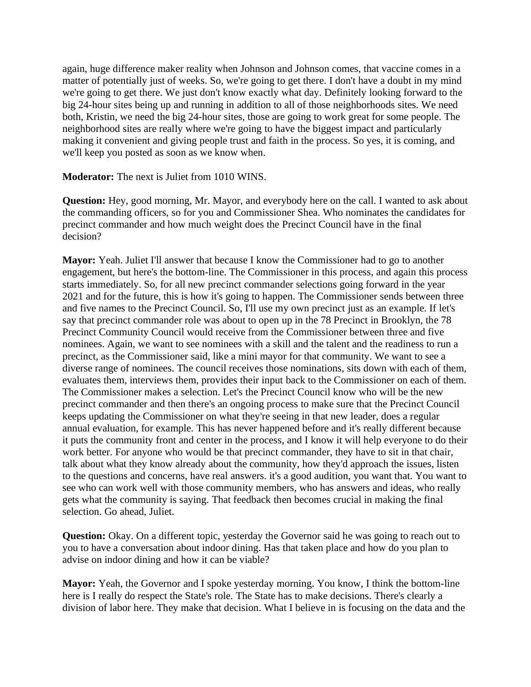again, huge difference maker reality when Johnson and Johnson comes, that vaccine comes in a matter of potentially just of weeks. So, we're going to get there. I don't have a doubt in my mind we're going to get there. We just don't know exactly what day. Definitely looking forward to the big 24-hour sites being up and running in addition to all of those neighborhoods sites. We need both, Kristin, we need the big 24-hour sites, those are going to work great for some people. The neighborhood sites are really where we're going to have the biggest impact and particularly making it convenient and giving people trust and faith in the process. So yes, it is coming, and we'll keep you posted as soon as we know when.

**Moderator:** The next is Juliet from 1010 WINS.

**Question:** Hey, good morning, Mr. Mayor, and everybody here on the call. I wanted to ask about the commanding officers, so for you and Commissioner Shea. Who nominates the candidates for precinct commander and how much weight does the Precinct Council have in the final decision?

**Mayor:** Yeah. Juliet I'll answer that because I know the Commissioner had to go to another engagement, but here's the bottom-line. The Commissioner in this process, and again this process starts immediately. So, for all new precinct commander selections going forward in the year 2021 and for the future, this is how it's going to happen. The Commissioner sends between three and five names to the Precinct Council. So, I'll use my own precinct just as an example. If let's say that precinct commander role was about to open up in the 78 Precinct in Brooklyn, the 78 Precinct Community Council would receive from the Commissioner between three and five nominees. Again, we want to see nominees with a skill and the talent and the readiness to run a precinct, as the Commissioner said, like a mini mayor for that community. We want to see a diverse range of nominees. The council receives those nominations, sits down with each of them, evaluates them, interviews them, provides their input back to the Commissioner on each of them. The Commissioner makes a selection. Let's the Precinct Council know who will be the new precinct commander and then there's an ongoing process to make sure that the Precinct Council keeps updating the Commissioner on what they're seeing in that new leader, does a regular annual evaluation, for example. This has never happened before and it's really different because it puts the community front and center in the process, and I know it will help everyone to do their work better. For anyone who would be that precinct commander, they have to sit in that chair, talk about what they know already about the community, how they'd approach the issues, listen to the questions and concerns, have real answers. it's a good audition, you want that. You want to see who can work well with those community members, who has answers and ideas, who really gets what the community is saying. That feedback then becomes crucial in making the final selection. Go ahead, Juliet.

**Question:** Okay. On a different topic, yesterday the Governor said he was going to reach out to you to have a conversation about indoor dining. Has that taken place and how do you plan to advise on indoor dining and how it can be viable?

**Mayor:** Yeah, the Governor and I spoke yesterday morning. You know, I think the bottom-line here is I really do respect the State's role. The State has to make decisions. There's clearly a division of labor here. They make that decision. What I believe in is focusing on the data and the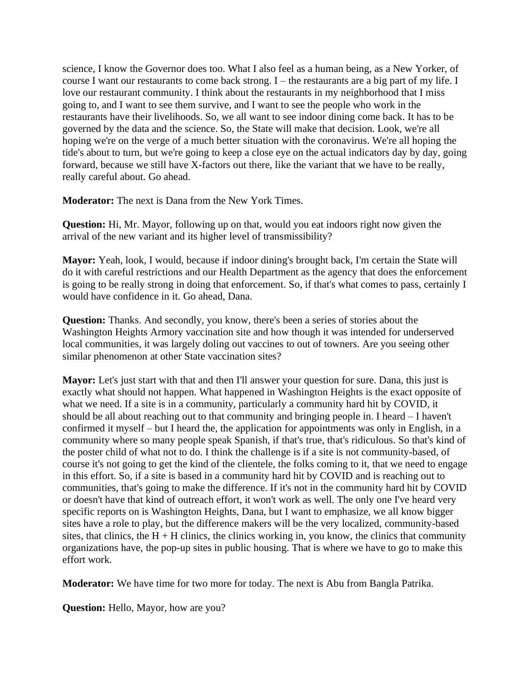science, I know the Governor does too. What I also feel as a human being, as a New Yorker, of course I want our restaurants to come back strong. I – the restaurants are a big part of my life. I love our restaurant community. I think about the restaurants in my neighborhood that I miss going to, and I want to see them survive, and I want to see the people who work in the restaurants have their livelihoods. So, we all want to see indoor dining come back. It has to be governed by the data and the science. So, the State will make that decision. Look, we're all hoping we're on the verge of a much better situation with the coronavirus. We're all hoping the tide's about to turn, but we're going to keep a close eye on the actual indicators day by day, going forward, because we still have X-factors out there, like the variant that we have to be really, really careful about. Go ahead.

**Moderator:** The next is Dana from the New York Times.

**Question:** Hi, Mr. Mayor, following up on that, would you eat indoors right now given the arrival of the new variant and its higher level of transmissibility?

**Mayor:** Yeah, look, I would, because if indoor dining's brought back, I'm certain the State will do it with careful restrictions and our Health Department as the agency that does the enforcement is going to be really strong in doing that enforcement. So, if that's what comes to pass, certainly I would have confidence in it. Go ahead, Dana.

**Question:** Thanks. And secondly, you know, there's been a series of stories about the Washington Heights Armory vaccination site and how though it was intended for underserved local communities, it was largely doling out vaccines to out of towners. Are you seeing other similar phenomenon at other State vaccination sites?

**Mayor:** Let's just start with that and then I'll answer your question for sure. Dana, this just is exactly what should not happen. What happened in Washington Heights is the exact opposite of what we need. If a site is in a community, particularly a community hard hit by COVID, it should be all about reaching out to that community and bringing people in. I heard – I haven't confirmed it myself – but I heard the, the application for appointments was only in English, in a community where so many people speak Spanish, if that's true, that's ridiculous. So that's kind of the poster child of what not to do. I think the challenge is if a site is not community-based, of course it's not going to get the kind of the clientele, the folks coming to it, that we need to engage in this effort. So, if a site is based in a community hard hit by COVID and is reaching out to communities, that's going to make the difference. If it's not in the community hard hit by COVID or doesn't have that kind of outreach effort, it won't work as well. The only one I've heard very specific reports on is Washington Heights, Dana, but I want to emphasize, we all know bigger sites have a role to play, but the difference makers will be the very localized, community-based sites, that clinics, the H + H clinics, the clinics working in, you know, the clinics that community organizations have, the pop-up sites in public housing. That is where we have to go to make this effort work.

**Moderator:** We have time for two more for today. The next is Abu from Bangla Patrika.

**Question:** Hello, Mayor, how are you?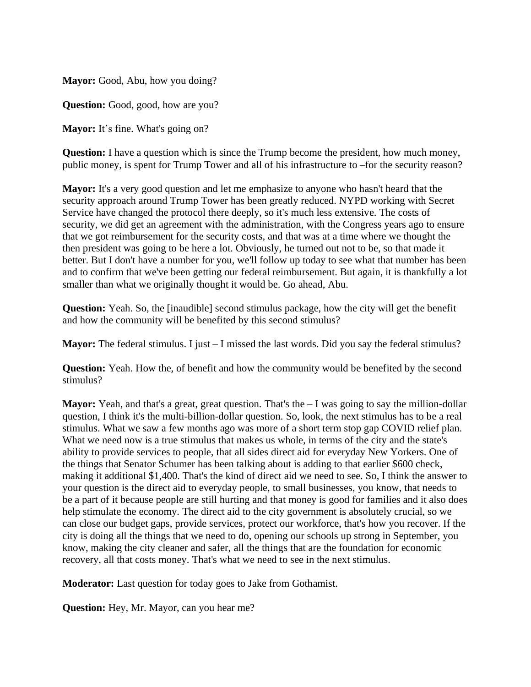**Mayor:** Good, Abu, how you doing?

**Question:** Good, good, how are you?

**Mayor:** It's fine. What's going on?

**Question:** I have a question which is since the Trump become the president, how much money, public money, is spent for Trump Tower and all of his infrastructure to –for the security reason?

**Mayor:** It's a very good question and let me emphasize to anyone who hasn't heard that the security approach around Trump Tower has been greatly reduced. NYPD working with Secret Service have changed the protocol there deeply, so it's much less extensive. The costs of security, we did get an agreement with the administration, with the Congress years ago to ensure that we got reimbursement for the security costs, and that was at a time where we thought the then president was going to be here a lot. Obviously, he turned out not to be, so that made it better. But I don't have a number for you, we'll follow up today to see what that number has been and to confirm that we've been getting our federal reimbursement. But again, it is thankfully a lot smaller than what we originally thought it would be. Go ahead, Abu.

**Question:** Yeah. So, the [inaudible] second stimulus package, how the city will get the benefit and how the community will be benefited by this second stimulus?

**Mayor:** The federal stimulus. I just – I missed the last words. Did you say the federal stimulus?

**Question:** Yeah. How the, of benefit and how the community would be benefited by the second stimulus?

**Mayor:** Yeah, and that's a great, great question. That's the – I was going to say the million-dollar question, I think it's the multi-billion-dollar question. So, look, the next stimulus has to be a real stimulus. What we saw a few months ago was more of a short term stop gap COVID relief plan. What we need now is a true stimulus that makes us whole, in terms of the city and the state's ability to provide services to people, that all sides direct aid for everyday New Yorkers. One of the things that Senator Schumer has been talking about is adding to that earlier \$600 check, making it additional \$1,400. That's the kind of direct aid we need to see. So, I think the answer to your question is the direct aid to everyday people, to small businesses, you know, that needs to be a part of it because people are still hurting and that money is good for families and it also does help stimulate the economy. The direct aid to the city government is absolutely crucial, so we can close our budget gaps, provide services, protect our workforce, that's how you recover. If the city is doing all the things that we need to do, opening our schools up strong in September, you know, making the city cleaner and safer, all the things that are the foundation for economic recovery, all that costs money. That's what we need to see in the next stimulus.

**Moderator:** Last question for today goes to Jake from Gothamist.

**Question:** Hey, Mr. Mayor, can you hear me?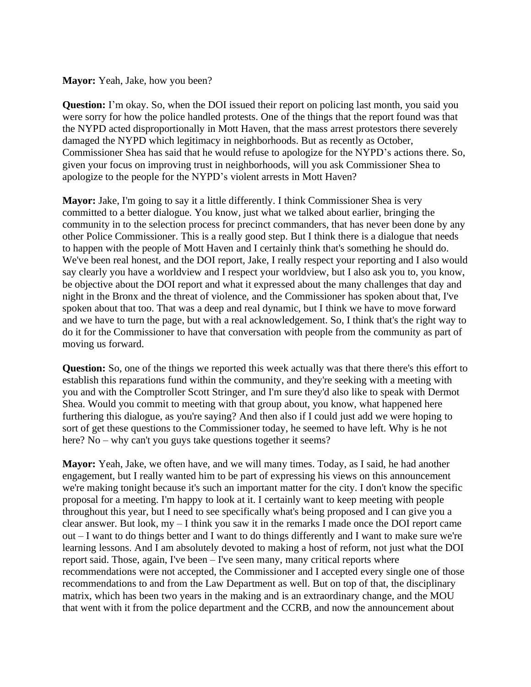#### **Mayor:** Yeah, Jake, how you been?

**Question:** I'm okay. So, when the DOI issued their report on policing last month, you said you were sorry for how the police handled protests. One of the things that the report found was that the NYPD acted disproportionally in Mott Haven, that the mass arrest protestors there severely damaged the NYPD which legitimacy in neighborhoods. But as recently as October, Commissioner Shea has said that he would refuse to apologize for the NYPD's actions there. So, given your focus on improving trust in neighborhoods, will you ask Commissioner Shea to apologize to the people for the NYPD's violent arrests in Mott Haven?

**Mayor:** Jake, I'm going to say it a little differently. I think Commissioner Shea is very committed to a better dialogue. You know, just what we talked about earlier, bringing the community in to the selection process for precinct commanders, that has never been done by any other Police Commissioner. This is a really good step. But I think there is a dialogue that needs to happen with the people of Mott Haven and I certainly think that's something he should do. We've been real honest, and the DOI report, Jake, I really respect your reporting and I also would say clearly you have a worldview and I respect your worldview, but I also ask you to, you know, be objective about the DOI report and what it expressed about the many challenges that day and night in the Bronx and the threat of violence, and the Commissioner has spoken about that, I've spoken about that too. That was a deep and real dynamic, but I think we have to move forward and we have to turn the page, but with a real acknowledgement. So, I think that's the right way to do it for the Commissioner to have that conversation with people from the community as part of moving us forward.

**Question:** So, one of the things we reported this week actually was that there there's this effort to establish this reparations fund within the community, and they're seeking with a meeting with you and with the Comptroller Scott Stringer, and I'm sure they'd also like to speak with Dermot Shea. Would you commit to meeting with that group about, you know, what happened here furthering this dialogue, as you're saying? And then also if I could just add we were hoping to sort of get these questions to the Commissioner today, he seemed to have left. Why is he not here? No – why can't you guys take questions together it seems?

**Mayor:** Yeah, Jake, we often have, and we will many times. Today, as I said, he had another engagement, but I really wanted him to be part of expressing his views on this announcement we're making tonight because it's such an important matter for the city. I don't know the specific proposal for a meeting. I'm happy to look at it. I certainly want to keep meeting with people throughout this year, but I need to see specifically what's being proposed and I can give you a clear answer. But look, my – I think you saw it in the remarks I made once the DOI report came out – I want to do things better and I want to do things differently and I want to make sure we're learning lessons. And I am absolutely devoted to making a host of reform, not just what the DOI report said. Those, again, I've been – I've seen many, many critical reports where recommendations were not accepted, the Commissioner and I accepted every single one of those recommendations to and from the Law Department as well. But on top of that, the disciplinary matrix, which has been two years in the making and is an extraordinary change, and the MOU that went with it from the police department and the CCRB, and now the announcement about